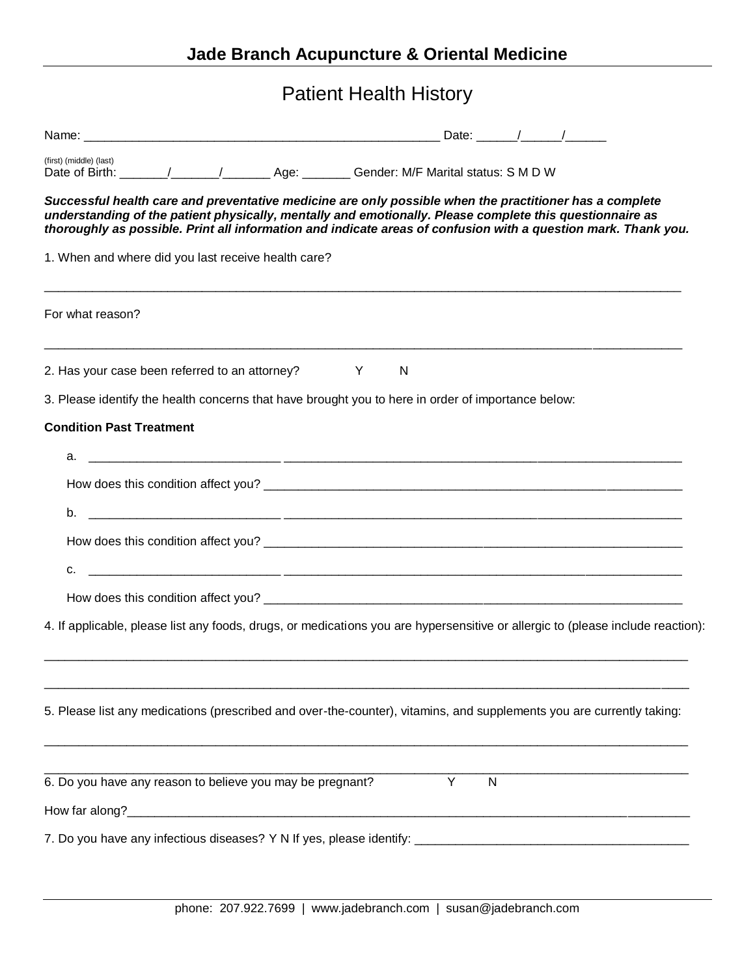| <b>Patient Health History</b>                                                                                                                                                                                                                                                                                                         |
|---------------------------------------------------------------------------------------------------------------------------------------------------------------------------------------------------------------------------------------------------------------------------------------------------------------------------------------|
|                                                                                                                                                                                                                                                                                                                                       |
| (first) (middle) (last)                                                                                                                                                                                                                                                                                                               |
| Successful health care and preventative medicine are only possible when the practitioner has a complete<br>understanding of the patient physically, mentally and emotionally. Please complete this questionnaire as<br>thoroughly as possible. Print all information and indicate areas of confusion with a question mark. Thank you. |
| 1. When and where did you last receive health care?                                                                                                                                                                                                                                                                                   |
| For what reason?                                                                                                                                                                                                                                                                                                                      |
| 2. Has your case been referred to an attorney? Y<br><sup>N</sup>                                                                                                                                                                                                                                                                      |
| 3. Please identify the health concerns that have brought you to here in order of importance below:                                                                                                                                                                                                                                    |
| <b>Condition Past Treatment</b>                                                                                                                                                                                                                                                                                                       |
|                                                                                                                                                                                                                                                                                                                                       |
|                                                                                                                                                                                                                                                                                                                                       |
| <u> 1988 - Francisco Barbara, presidente e altres españolas de la contradición de la contradición de la contradici</u><br>b.                                                                                                                                                                                                          |
|                                                                                                                                                                                                                                                                                                                                       |
| с.                                                                                                                                                                                                                                                                                                                                    |
|                                                                                                                                                                                                                                                                                                                                       |
| 4. If applicable, please list any foods, drugs, or medications you are hypersensitive or allergic to (please include reaction):                                                                                                                                                                                                       |
| 5. Please list any medications (prescribed and over-the-counter), vitamins, and supplements you are currently taking:                                                                                                                                                                                                                 |
| 6. Do you have any reason to believe you may be pregnant?<br>Y<br>$\mathsf{N}$                                                                                                                                                                                                                                                        |
|                                                                                                                                                                                                                                                                                                                                       |
|                                                                                                                                                                                                                                                                                                                                       |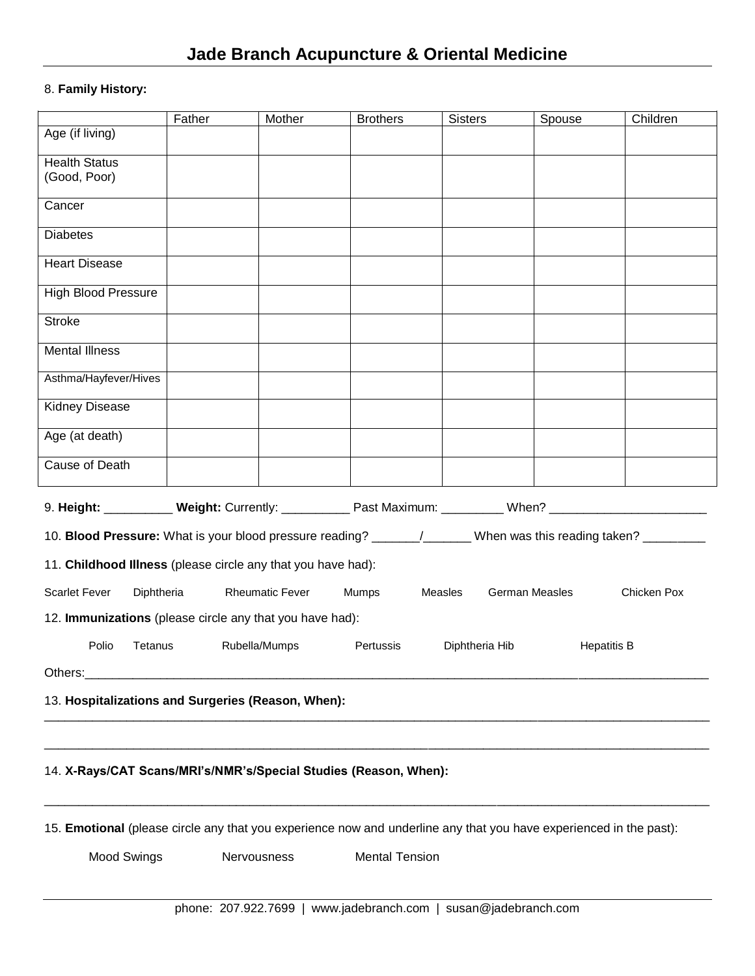## 8. **Family History:**

|                                                                                                                    | Father | Mother                 | <b>Brothers</b> | <b>Sisters</b>            | Spouse             | Children    |
|--------------------------------------------------------------------------------------------------------------------|--------|------------------------|-----------------|---------------------------|--------------------|-------------|
| Age (if living)                                                                                                    |        |                        |                 |                           |                    |             |
| <b>Health Status</b><br>(Good, Poor)                                                                               |        |                        |                 |                           |                    |             |
| Cancer                                                                                                             |        |                        |                 |                           |                    |             |
| <b>Diabetes</b>                                                                                                    |        |                        |                 |                           |                    |             |
| <b>Heart Disease</b>                                                                                               |        |                        |                 |                           |                    |             |
| <b>High Blood Pressure</b>                                                                                         |        |                        |                 |                           |                    |             |
| <b>Stroke</b>                                                                                                      |        |                        |                 |                           |                    |             |
| <b>Mental Illness</b>                                                                                              |        |                        |                 |                           |                    |             |
| Asthma/Hayfever/Hives                                                                                              |        |                        |                 |                           |                    |             |
| Kidney Disease                                                                                                     |        |                        |                 |                           |                    |             |
| Age (at death)                                                                                                     |        |                        |                 |                           |                    |             |
| <b>Cause of Death</b>                                                                                              |        |                        |                 |                           |                    |             |
| 9. Height: ___________ Weight: Currently: ___________ Past Maximum: __________ When? _________________________     |        |                        |                 |                           |                    |             |
| 10. Blood Pressure: What is your blood pressure reading? ______/______ When was this reading taken? _________      |        |                        |                 |                           |                    |             |
| 11. Childhood Illness (please circle any that you have had):                                                       |        |                        |                 |                           |                    |             |
| <b>Scarlet Fever</b><br>Diphtheria                                                                                 |        | <b>Rheumatic Fever</b> | Mumps           | German Measles<br>Measles |                    | Chicken Pox |
| 12. Immunizations (please circle any that you have had):                                                           |        |                        |                 |                           |                    |             |
| Polio<br>Tetanus                                                                                                   |        | Rubella/Mumps          | Pertussis       | Diphtheria Hib            | <b>Hepatitis B</b> |             |
| Others:                                                                                                            |        |                        |                 |                           |                    |             |
| 13. Hospitalizations and Surgeries (Reason, When):                                                                 |        |                        |                 |                           |                    |             |
|                                                                                                                    |        |                        |                 |                           |                    |             |
| 14. X-Rays/CAT Scans/MRI's/NMR's/Special Studies (Reason, When):                                                   |        |                        |                 |                           |                    |             |
| 15. Emotional (please circle any that you experience now and underline any that you have experienced in the past): |        |                        |                 |                           |                    |             |
| <b>Mental Tension</b><br>Mood Swings<br>Nervousness                                                                |        |                        |                 |                           |                    |             |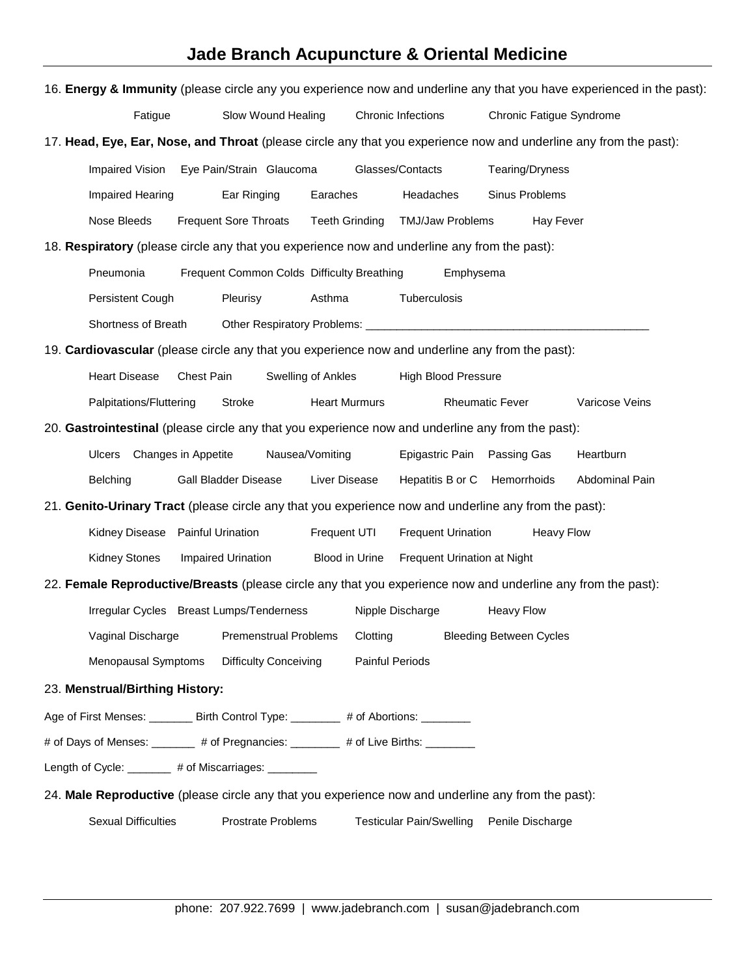## **Jade Branch Acupuncture & Oriental Medicine**

| 16. Energy & Immunity (please circle any you experience now and underline any that you have experienced in the past): |                                            |                        |                                 |                                |                       |  |
|-----------------------------------------------------------------------------------------------------------------------|--------------------------------------------|------------------------|---------------------------------|--------------------------------|-----------------------|--|
| Fatigue                                                                                                               | Slow Wound Healing                         |                        | Chronic Infections              | Chronic Fatigue Syndrome       |                       |  |
| 17. Head, Eye, Ear, Nose, and Throat (please circle any that you experience now and underline any from the past):     |                                            |                        |                                 |                                |                       |  |
| Impaired Vision                                                                                                       | Eye Pain/Strain Glaucoma                   |                        | Glasses/Contacts                | Tearing/Dryness                |                       |  |
| Impaired Hearing                                                                                                      | Ear Ringing                                | Earaches               | Headaches                       | Sinus Problems                 |                       |  |
| Nose Bleeds                                                                                                           | <b>Frequent Sore Throats</b>               | <b>Teeth Grinding</b>  | <b>TMJ/Jaw Problems</b>         | Hay Fever                      |                       |  |
| 18. Respiratory (please circle any that you experience now and underline any from the past):                          |                                            |                        |                                 |                                |                       |  |
| Pneumonia                                                                                                             | Frequent Common Colds Difficulty Breathing |                        | Emphysema                       |                                |                       |  |
| Persistent Cough                                                                                                      | Pleurisy                                   | Asthma                 | Tuberculosis                    |                                |                       |  |
| Shortness of Breath                                                                                                   |                                            |                        |                                 |                                |                       |  |
| 19. Cardiovascular (please circle any that you experience now and underline any from the past):                       |                                            |                        |                                 |                                |                       |  |
| <b>Heart Disease</b>                                                                                                  | Chest Pain                                 | Swelling of Ankles     | <b>High Blood Pressure</b>      |                                |                       |  |
| Palpitations/Fluttering                                                                                               | Stroke                                     | <b>Heart Murmurs</b>   |                                 | <b>Rheumatic Fever</b>         | Varicose Veins        |  |
| 20. Gastrointestinal (please circle any that you experience now and underline any from the past):                     |                                            |                        |                                 |                                |                       |  |
| Changes in Appetite<br>Ulcers                                                                                         |                                            | Nausea/Vomiting        | Epigastric Pain                 | Passing Gas                    | Heartburn             |  |
| Belching                                                                                                              | Gall Bladder Disease                       | Liver Disease          | Hepatitis B or C Hemorrhoids    |                                | <b>Abdominal Pain</b> |  |
| 21. Genito-Urinary Tract (please circle any that you experience now and underline any from the past):                 |                                            |                        |                                 |                                |                       |  |
| Kidney Disease Painful Urination                                                                                      |                                            | Frequent UTI           | <b>Frequent Urination</b>       | <b>Heavy Flow</b>              |                       |  |
| <b>Kidney Stones</b>                                                                                                  | Impaired Urination                         | Blood in Urine         | Frequent Urination at Night     |                                |                       |  |
| 22. Female Reproductive/Breasts (please circle any that you experience now and underline any from the past):          |                                            |                        |                                 |                                |                       |  |
|                                                                                                                       | Irregular Cycles Breast Lumps/Tenderness   |                        | Nipple Discharge                | <b>Heavy Flow</b>              |                       |  |
| Vaginal Discharge                                                                                                     | <b>Premenstrual Problems</b>               | Clotting               |                                 | <b>Bleeding Between Cycles</b> |                       |  |
| Menopausal Symptoms                                                                                                   | <b>Difficulty Conceiving</b>               | <b>Painful Periods</b> |                                 |                                |                       |  |
| 23. Menstrual/Birthing History:                                                                                       |                                            |                        |                                 |                                |                       |  |
| Age of First Menses: ________ Birth Control Type: ________ # of Abortions: _______                                    |                                            |                        |                                 |                                |                       |  |
| # of Days of Menses: _______ # of Pregnancies: _______ # of Live Births: _______                                      |                                            |                        |                                 |                                |                       |  |
| Length of Cycle: _______ # of Miscarriages: ________                                                                  |                                            |                        |                                 |                                |                       |  |
| 24. Male Reproductive (please circle any that you experience now and underline any from the past):                    |                                            |                        |                                 |                                |                       |  |
| <b>Sexual Difficulties</b>                                                                                            | <b>Prostrate Problems</b>                  |                        | <b>Testicular Pain/Swelling</b> | Penile Discharge               |                       |  |